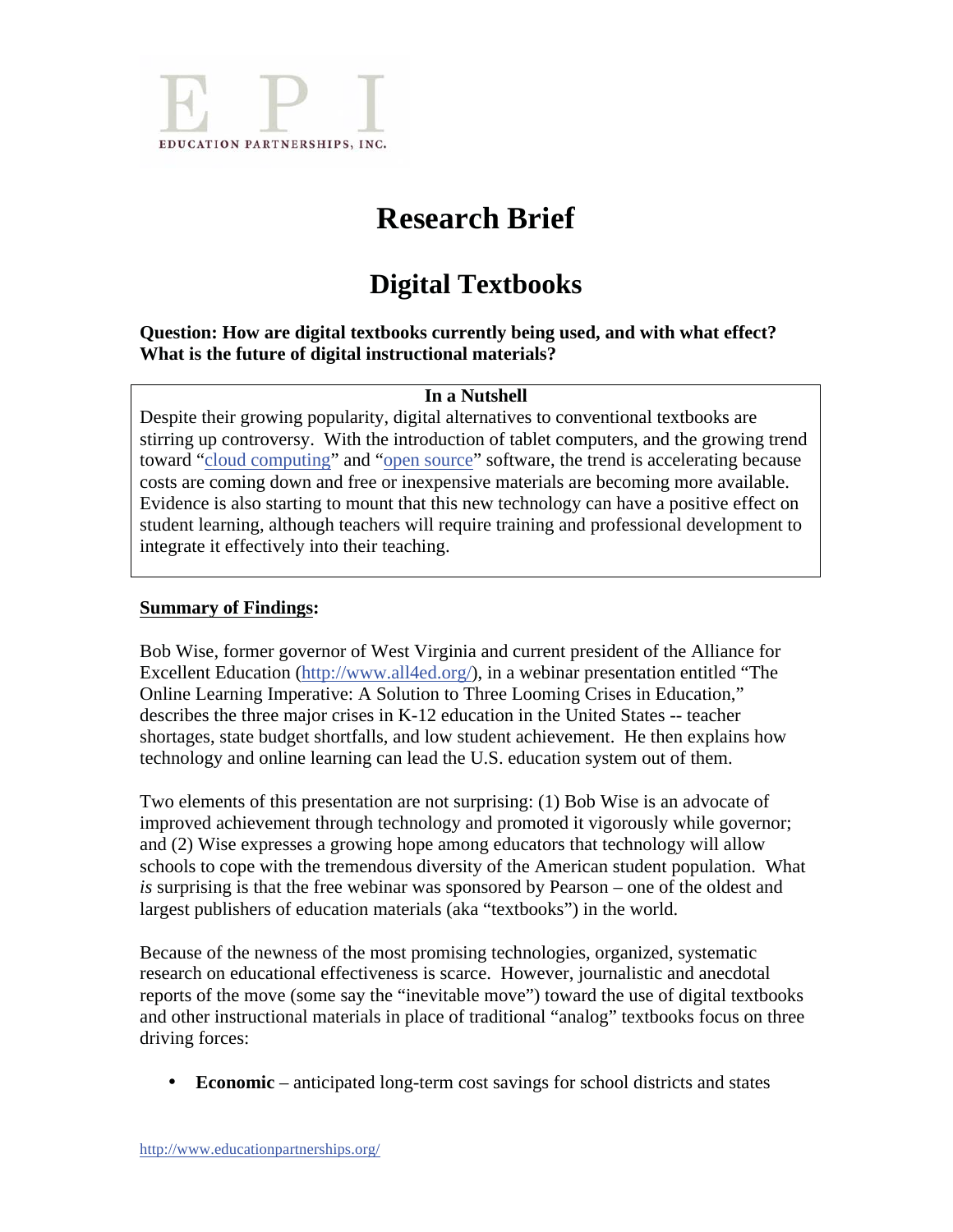

# **Research Brief**

# **Digital Textbooks**

**Question: How are digital textbooks currently being used, and with what effect? What is the future of digital instructional materials?** 

### **In a Nutshell**

Despite their growing popularity, digital alternatives to conventional textbooks are stirring up controversy. With the introduction of tablet computers, and the growing trend toward "cloud computing" and "open source" software, the trend is accelerating because costs are coming down and free or inexpensive materials are becoming more available. Evidence is also starting to mount that this new technology can have a positive effect on student learning, although teachers will require training and professional development to integrate it effectively into their teaching.

### **Summary of Findings:**

Bob Wise, former governor of West Virginia and current president of the Alliance for Excellent Education (http://www.all4ed.org/), in a webinar presentation entitled "The Online Learning Imperative: A Solution to Three Looming Crises in Education," describes the three major crises in K-12 education in the United States -- teacher shortages, state budget shortfalls, and low student achievement. He then explains how technology and online learning can lead the U.S. education system out of them.

Two elements of this presentation are not surprising: (1) Bob Wise is an advocate of improved achievement through technology and promoted it vigorously while governor; and (2) Wise expresses a growing hope among educators that technology will allow schools to cope with the tremendous diversity of the American student population. What *is* surprising is that the free webinar was sponsored by Pearson – one of the oldest and largest publishers of education materials (aka "textbooks") in the world.

Because of the newness of the most promising technologies, organized, systematic research on educational effectiveness is scarce. However, journalistic and anecdotal reports of the move (some say the "inevitable move") toward the use of digital textbooks and other instructional materials in place of traditional "analog" textbooks focus on three driving forces:

• **Economic** – anticipated long-term cost savings for school districts and states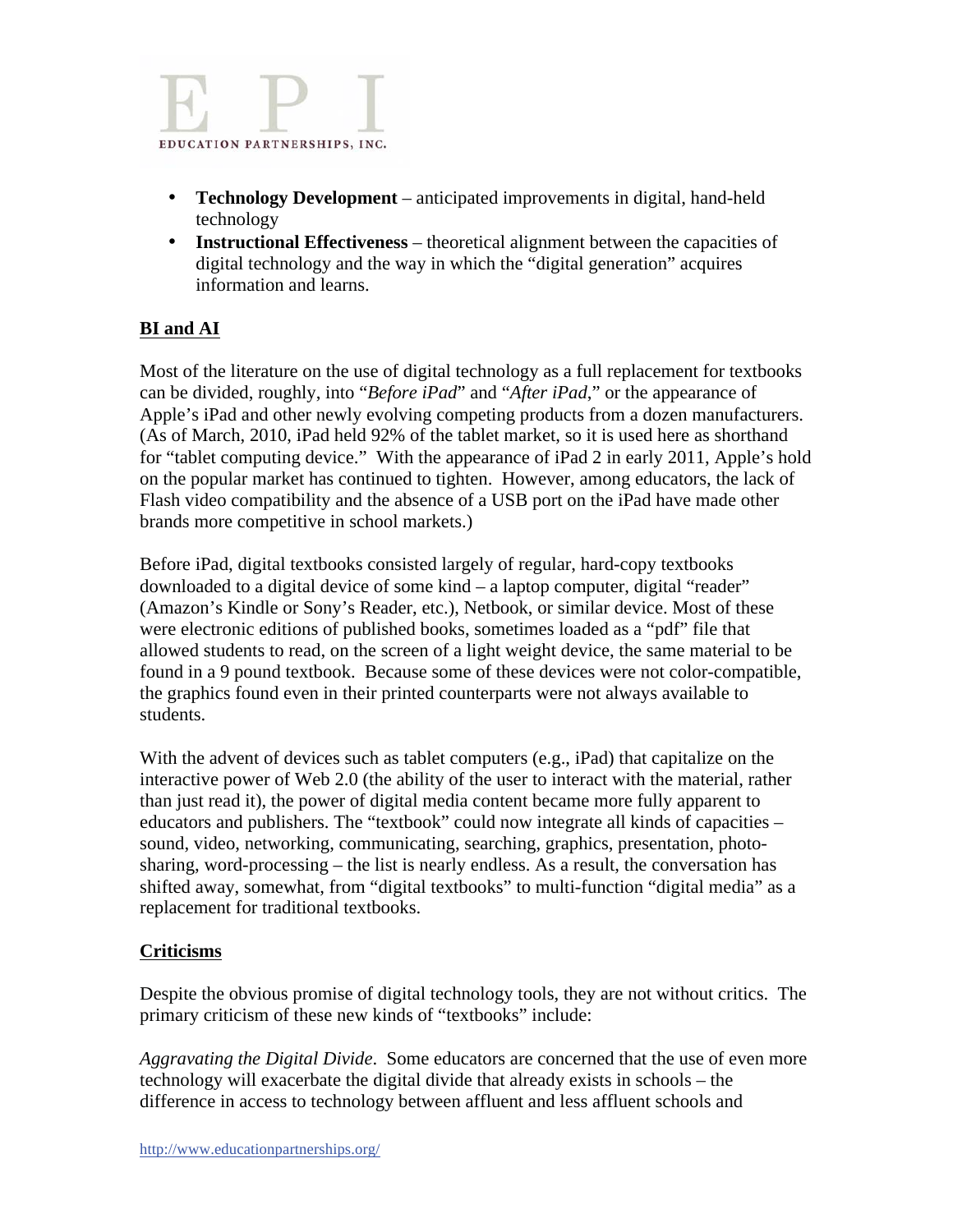

- **Technology Development** anticipated improvements in digital, hand-held technology
- **Instructional Effectiveness** theoretical alignment between the capacities of digital technology and the way in which the "digital generation" acquires information and learns.

## **BI and AI**

Most of the literature on the use of digital technology as a full replacement for textbooks can be divided, roughly, into "*Before iPad*" and "*After iPad*," or the appearance of Apple's iPad and other newly evolving competing products from a dozen manufacturers. (As of March, 2010, iPad held 92% of the tablet market, so it is used here as shorthand for "tablet computing device." With the appearance of iPad 2 in early 2011, Apple's hold on the popular market has continued to tighten. However, among educators, the lack of Flash video compatibility and the absence of a USB port on the iPad have made other brands more competitive in school markets.)

Before iPad, digital textbooks consisted largely of regular, hard-copy textbooks downloaded to a digital device of some kind – a laptop computer, digital "reader" (Amazon's Kindle or Sony's Reader, etc.), Netbook, or similar device. Most of these were electronic editions of published books, sometimes loaded as a "pdf" file that allowed students to read, on the screen of a light weight device, the same material to be found in a 9 pound textbook. Because some of these devices were not color-compatible, the graphics found even in their printed counterparts were not always available to students.

With the advent of devices such as tablet computers (e.g., iPad) that capitalize on the interactive power of Web 2.0 (the ability of the user to interact with the material, rather than just read it), the power of digital media content became more fully apparent to educators and publishers. The "textbook" could now integrate all kinds of capacities – sound, video, networking, communicating, searching, graphics, presentation, photosharing, word-processing – the list is nearly endless. As a result, the conversation has shifted away, somewhat, from "digital textbooks" to multi-function "digital media" as a replacement for traditional textbooks.

## **Criticisms**

Despite the obvious promise of digital technology tools, they are not without critics. The primary criticism of these new kinds of "textbooks" include:

*Aggravating the Digital Divide*. Some educators are concerned that the use of even more technology will exacerbate the digital divide that already exists in schools – the difference in access to technology between affluent and less affluent schools and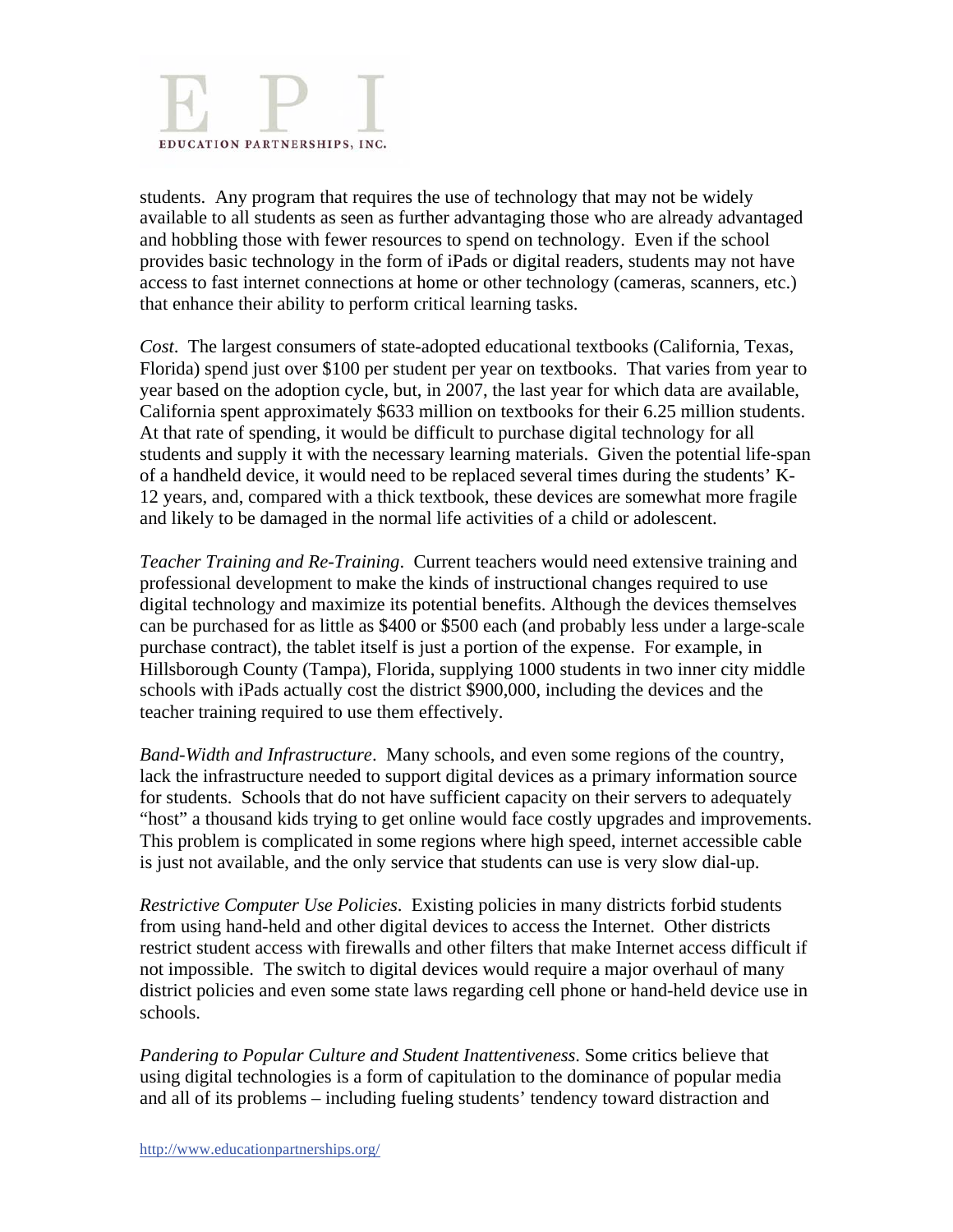

students. Any program that requires the use of technology that may not be widely available to all students as seen as further advantaging those who are already advantaged and hobbling those with fewer resources to spend on technology. Even if the school provides basic technology in the form of iPads or digital readers, students may not have access to fast internet connections at home or other technology (cameras, scanners, etc.) that enhance their ability to perform critical learning tasks.

*Cost*. The largest consumers of state-adopted educational textbooks (California, Texas, Florida) spend just over \$100 per student per year on textbooks. That varies from year to year based on the adoption cycle, but, in 2007, the last year for which data are available, California spent approximately \$633 million on textbooks for their 6.25 million students. At that rate of spending, it would be difficult to purchase digital technology for all students and supply it with the necessary learning materials. Given the potential life-span of a handheld device, it would need to be replaced several times during the students' K-12 years, and, compared with a thick textbook, these devices are somewhat more fragile and likely to be damaged in the normal life activities of a child or adolescent.

*Teacher Training and Re-Training*. Current teachers would need extensive training and professional development to make the kinds of instructional changes required to use digital technology and maximize its potential benefits. Although the devices themselves can be purchased for as little as \$400 or \$500 each (and probably less under a large-scale purchase contract), the tablet itself is just a portion of the expense. For example, in Hillsborough County (Tampa), Florida, supplying 1000 students in two inner city middle schools with iPads actually cost the district \$900,000, including the devices and the teacher training required to use them effectively.

*Band-Width and Infrastructure*. Many schools, and even some regions of the country, lack the infrastructure needed to support digital devices as a primary information source for students. Schools that do not have sufficient capacity on their servers to adequately "host" a thousand kids trying to get online would face costly upgrades and improvements. This problem is complicated in some regions where high speed, internet accessible cable is just not available, and the only service that students can use is very slow dial-up.

*Restrictive Computer Use Policies*. Existing policies in many districts forbid students from using hand-held and other digital devices to access the Internet. Other districts restrict student access with firewalls and other filters that make Internet access difficult if not impossible. The switch to digital devices would require a major overhaul of many district policies and even some state laws regarding cell phone or hand-held device use in schools.

*Pandering to Popular Culture and Student Inattentiveness*. Some critics believe that using digital technologies is a form of capitulation to the dominance of popular media and all of its problems – including fueling students' tendency toward distraction and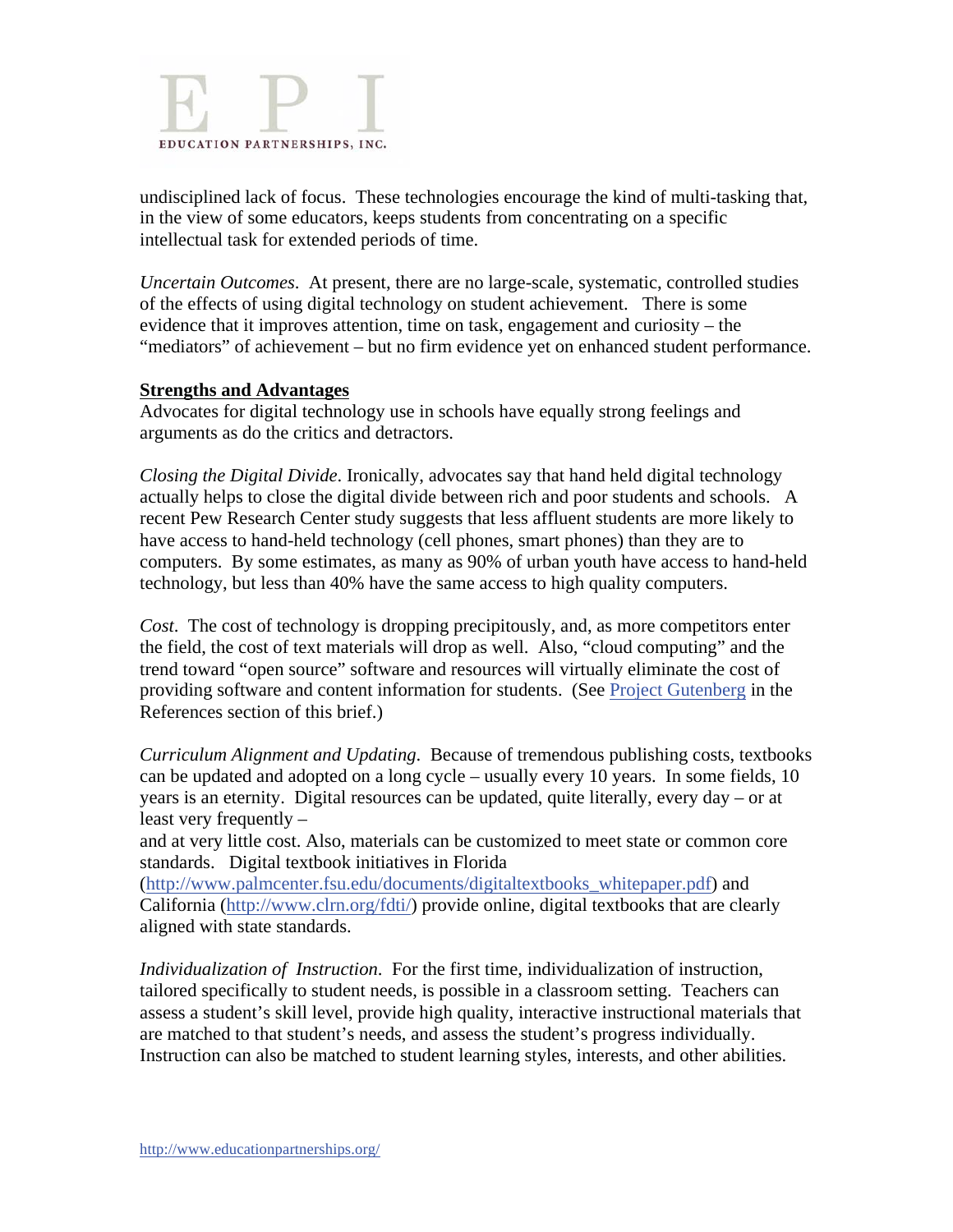

undisciplined lack of focus. These technologies encourage the kind of multi-tasking that, in the view of some educators, keeps students from concentrating on a specific intellectual task for extended periods of time.

*Uncertain Outcomes*. At present, there are no large-scale, systematic, controlled studies of the effects of using digital technology on student achievement. There is some evidence that it improves attention, time on task, engagement and curiosity – the "mediators" of achievement – but no firm evidence yet on enhanced student performance.

### **Strengths and Advantages**

Advocates for digital technology use in schools have equally strong feelings and arguments as do the critics and detractors.

*Closing the Digital Divide*. Ironically, advocates say that hand held digital technology actually helps to close the digital divide between rich and poor students and schools. A recent Pew Research Center study suggests that less affluent students are more likely to have access to hand-held technology (cell phones, smart phones) than they are to computers. By some estimates, as many as 90% of urban youth have access to hand-held technology, but less than 40% have the same access to high quality computers.

*Cost*. The cost of technology is dropping precipitously, and, as more competitors enter the field, the cost of text materials will drop as well. Also, "cloud computing" and the trend toward "open source" software and resources will virtually eliminate the cost of providing software and content information for students. (See Project Gutenberg in the References section of this brief.)

*Curriculum Alignment and Updating*. Because of tremendous publishing costs, textbooks can be updated and adopted on a long cycle – usually every 10 years. In some fields, 10 years is an eternity. Digital resources can be updated, quite literally, every day – or at least very frequently –

and at very little cost. Also, materials can be customized to meet state or common core standards. Digital textbook initiatives in Florida

(http://www.palmcenter.fsu.edu/documents/digitaltextbooks\_whitepaper.pdf) and California (http://www.clrn.org/fdti/) provide online, digital textbooks that are clearly aligned with state standards.

*Individualization of Instruction*. For the first time, individualization of instruction, tailored specifically to student needs, is possible in a classroom setting. Teachers can assess a student's skill level, provide high quality, interactive instructional materials that are matched to that student's needs, and assess the student's progress individually. Instruction can also be matched to student learning styles, interests, and other abilities.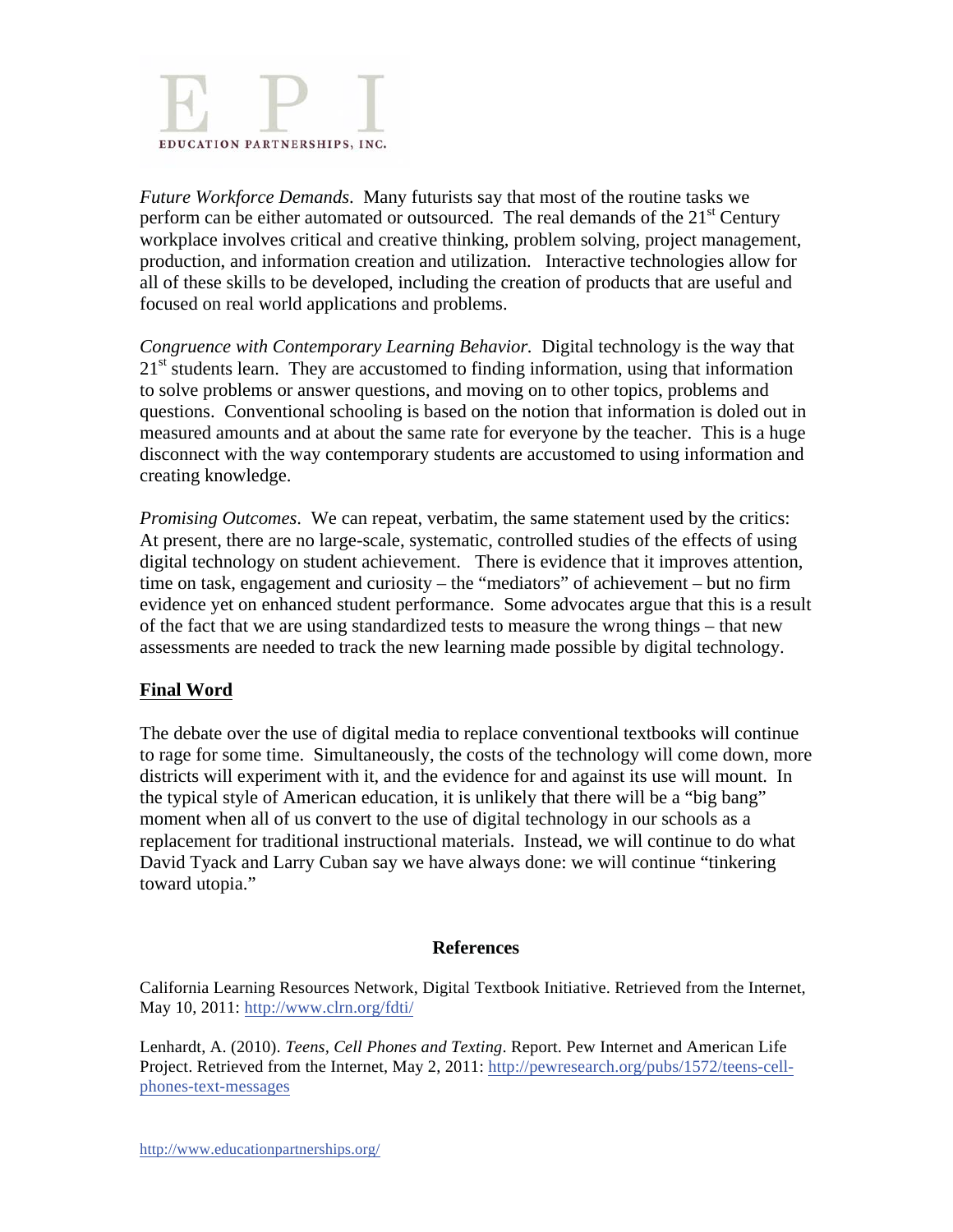

*Future Workforce Demands*. Many futurists say that most of the routine tasks we perform can be either automated or outsourced. The real demands of the 21<sup>st</sup> Century workplace involves critical and creative thinking, problem solving, project management, production, and information creation and utilization. Interactive technologies allow for all of these skills to be developed, including the creation of products that are useful and focused on real world applications and problems.

*Congruence with Contemporary Learning Behavior.* Digital technology is the way that  $21<sup>st</sup>$  students learn. They are accustomed to finding information, using that information to solve problems or answer questions, and moving on to other topics, problems and questions. Conventional schooling is based on the notion that information is doled out in measured amounts and at about the same rate for everyone by the teacher. This is a huge disconnect with the way contemporary students are accustomed to using information and creating knowledge.

*Promising Outcomes*. We can repeat, verbatim, the same statement used by the critics: At present, there are no large-scale, systematic, controlled studies of the effects of using digital technology on student achievement. There is evidence that it improves attention, time on task, engagement and curiosity – the "mediators" of achievement – but no firm evidence yet on enhanced student performance. Some advocates argue that this is a result of the fact that we are using standardized tests to measure the wrong things – that new assessments are needed to track the new learning made possible by digital technology.

### **Final Word**

The debate over the use of digital media to replace conventional textbooks will continue to rage for some time. Simultaneously, the costs of the technology will come down, more districts will experiment with it, and the evidence for and against its use will mount. In the typical style of American education, it is unlikely that there will be a "big bang" moment when all of us convert to the use of digital technology in our schools as a replacement for traditional instructional materials. Instead, we will continue to do what David Tyack and Larry Cuban say we have always done: we will continue "tinkering toward utopia."

### **References**

California Learning Resources Network, Digital Textbook Initiative. Retrieved from the Internet, May 10, 2011: http://www.clrn.org/fdti/

Lenhardt, A. (2010). *Teens, Cell Phones and Texting*. Report. Pew Internet and American Life Project. Retrieved from the Internet, May 2, 2011: http://pewresearch.org/pubs/1572/teens-cellphones-text-messages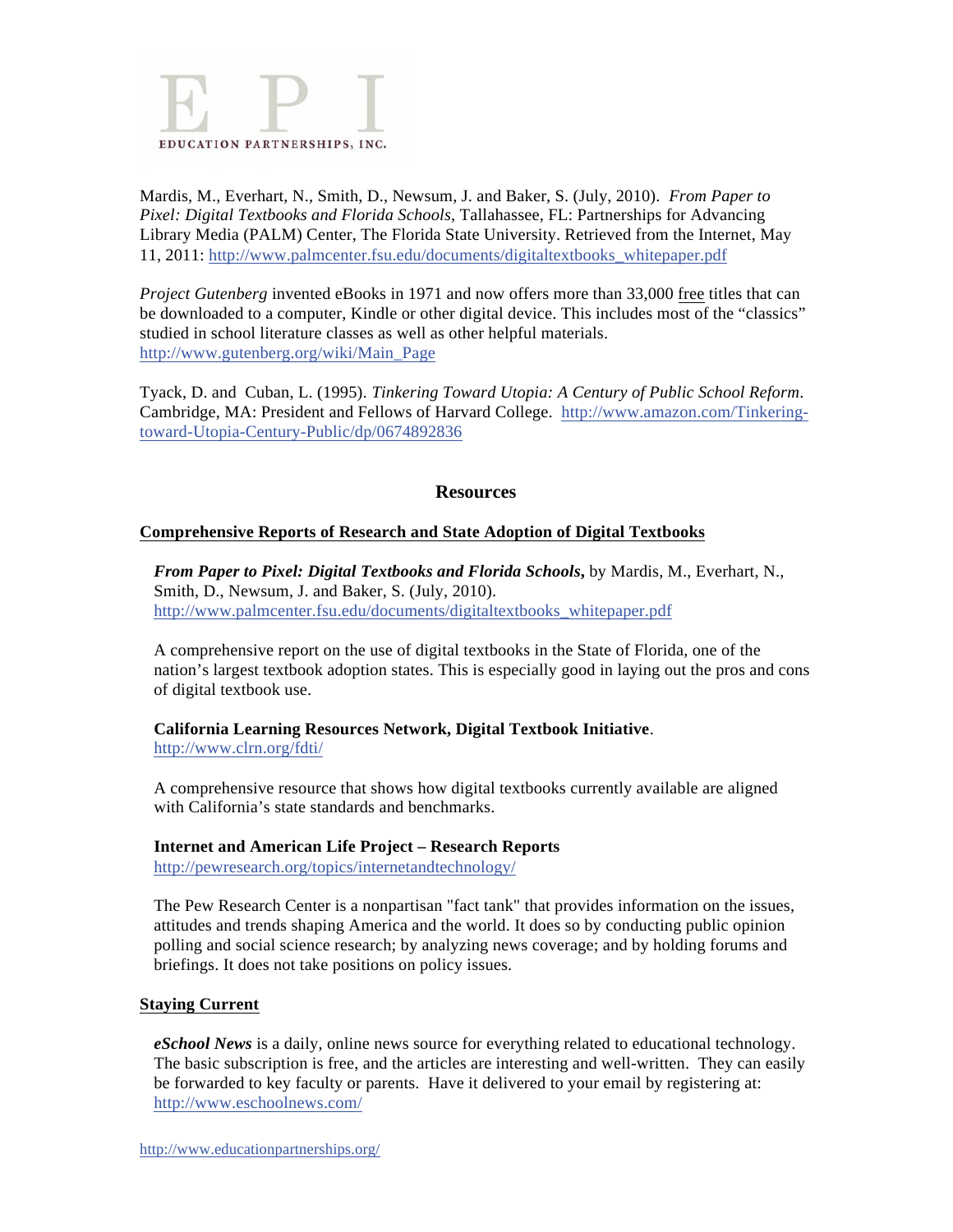

Mardis, M., Everhart, N., Smith, D., Newsum, J. and Baker, S. (July, 2010). *From Paper to Pixel: Digital Textbooks and Florida Schools*, Tallahassee, FL: Partnerships for Advancing Library Media (PALM) Center, The Florida State University. Retrieved from the Internet, May 11, 2011: http://www.palmcenter.fsu.edu/documents/digitaltextbooks\_whitepaper.pdf

*Project Gutenberg* invented eBooks in 1971 and now offers more than 33,000 free titles that can be downloaded to a computer, Kindle or other digital device. This includes most of the "classics" studied in school literature classes as well as other helpful materials. http://www.gutenberg.org/wiki/Main\_Page

Tyack, D. and Cuban, L. (1995). *Tinkering Toward Utopia: A Century of Public School Reform*. Cambridge, MA: President and Fellows of Harvard College. http://www.amazon.com/Tinkeringtoward-Utopia-Century-Public/dp/0674892836

### **Resources**

### **Comprehensive Reports of Research and State Adoption of Digital Textbooks**

*From Paper to Pixel: Digital Textbooks and Florida Schools***,** by Mardis, M., Everhart, N., Smith, D., Newsum, J. and Baker, S. (July, 2010). http://www.palmcenter.fsu.edu/documents/digitaltextbooks\_whitepaper.pdf

A comprehensive report on the use of digital textbooks in the State of Florida, one of the nation's largest textbook adoption states. This is especially good in laying out the pros and cons of digital textbook use.

# **California Learning Resources Network, Digital Textbook Initiative**.

http://www.clrn.org/fdti/

A comprehensive resource that shows how digital textbooks currently available are aligned with California's state standards and benchmarks.

### **Internet and American Life Project – Research Reports**

http://pewresearch.org/topics/internetandtechnology/

The Pew Research Center is a nonpartisan "fact tank" that provides information on the issues, attitudes and trends shaping America and the world. It does so by conducting public opinion polling and social science research; by analyzing news coverage; and by holding forums and briefings. It does not take positions on policy issues.

### **Staying Current**

*eSchool News* is a daily, online news source for everything related to educational technology. The basic subscription is free, and the articles are interesting and well-written. They can easily be forwarded to key faculty or parents. Have it delivered to your email by registering at: http://www.eschoolnews.com/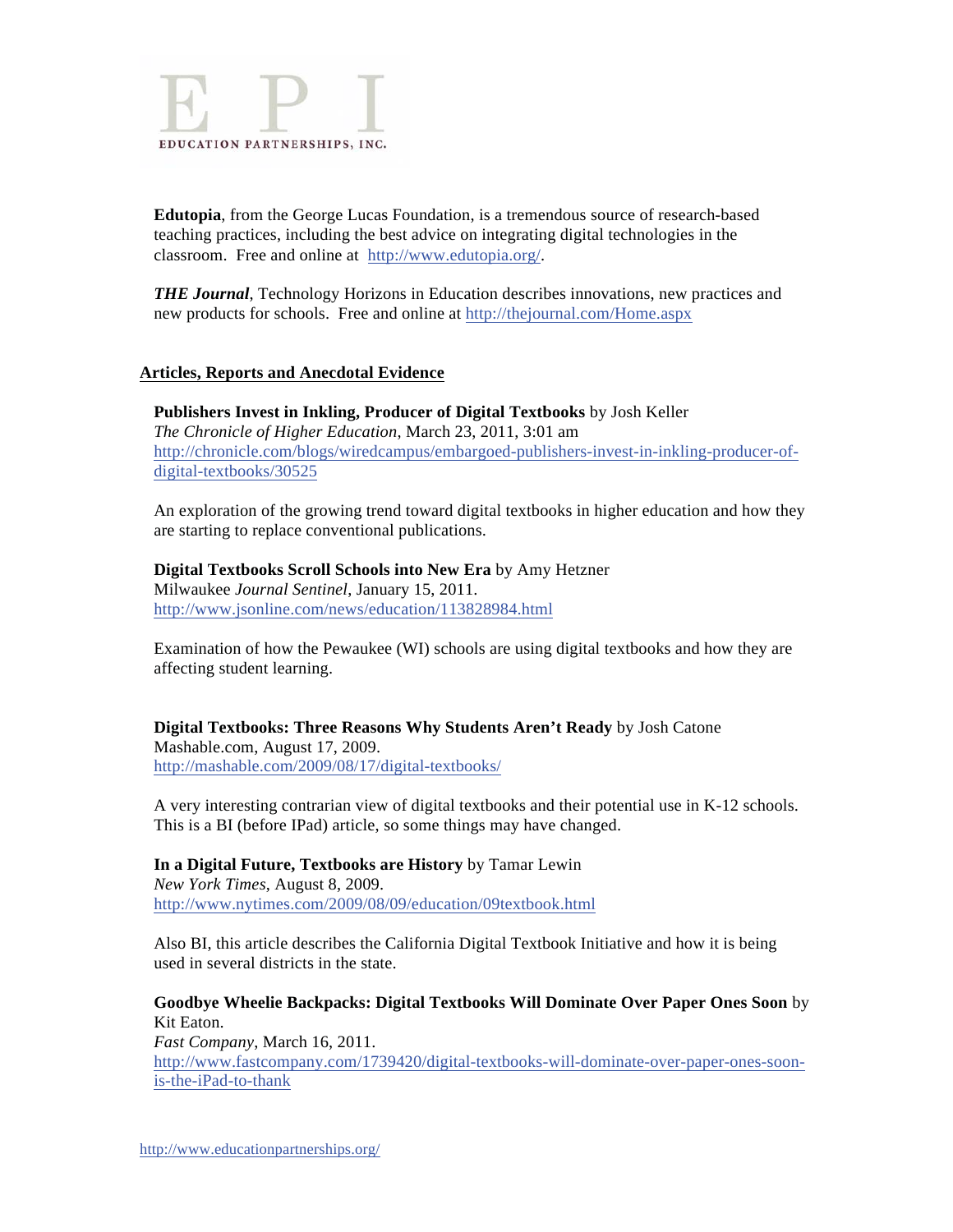

**Edutopia**, from the George Lucas Foundation, is a tremendous source of research-based teaching practices, including the best advice on integrating digital technologies in the classroom. Free and online at http://www.edutopia.org/.

*THE Journal*, Technology Horizons in Education describes innovations, new practices and new products for schools. Free and online at http://thejournal.com/Home.aspx

### **Articles, Reports and Anecdotal Evidence**

**Publishers Invest in Inkling, Producer of Digital Textbooks** by Josh Keller *The Chronicle of Higher Education*, March 23, 2011, 3:01 am http://chronicle.com/blogs/wiredcampus/embargoed-publishers-invest-in-inkling-producer-ofdigital-textbooks/30525

An exploration of the growing trend toward digital textbooks in higher education and how they are starting to replace conventional publications.

**Digital Textbooks Scroll Schools into New Era** by Amy Hetzner Milwaukee *Journal Sentinel*, January 15, 2011. http://www.jsonline.com/news/education/113828984.html

Examination of how the Pewaukee (WI) schools are using digital textbooks and how they are affecting student learning.

**Digital Textbooks: Three Reasons Why Students Aren't Ready** by Josh Catone Mashable.com, August 17, 2009. http://mashable.com/2009/08/17/digital-textbooks/

A very interesting contrarian view of digital textbooks and their potential use in K-12 schools. This is a BI (before IPad) article, so some things may have changed.

**In a Digital Future, Textbooks are History** by Tamar Lewin *New York Times*, August 8, 2009. http://www.nytimes.com/2009/08/09/education/09textbook.html

Also BI, this article describes the California Digital Textbook Initiative and how it is being used in several districts in the state.

**Goodbye Wheelie Backpacks: Digital Textbooks Will Dominate Over Paper Ones Soon** by Kit Eaton. *Fast Company*, March 16, 2011. http://www.fastcompany.com/1739420/digital-textbooks-will-dominate-over-paper-ones-soonis-the-iPad-to-thank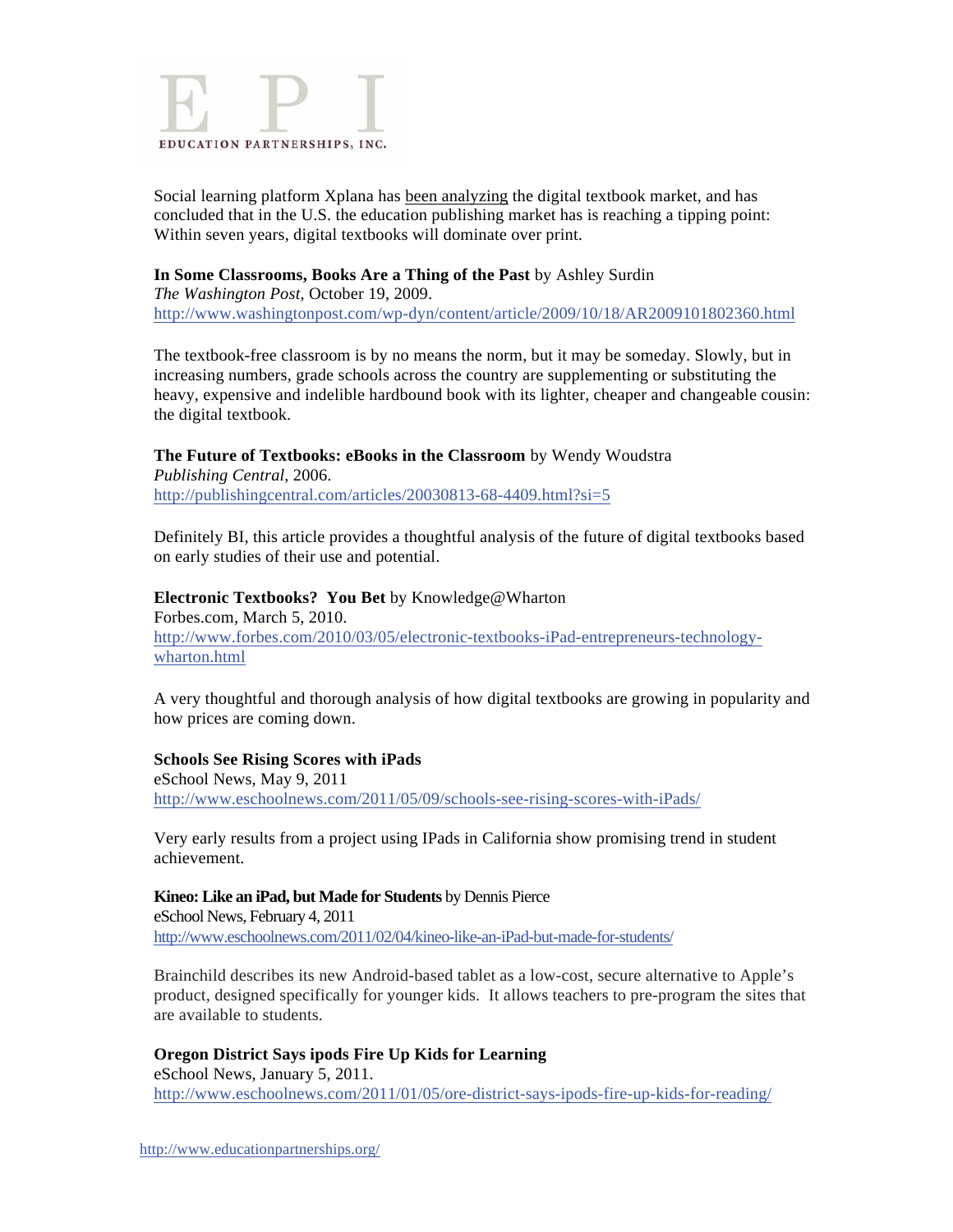

Social learning platform Xplana has been analyzing the digital textbook market, and has concluded that in the U.S. the education publishing market has is reaching a tipping point: Within seven years, digital textbooks will dominate over print.

### **In Some Classrooms, Books Are a Thing of the Past** by Ashley Surdin

*The Washington Post*, October 19, 2009. http://www.washingtonpost.com/wp-dyn/content/article/2009/10/18/AR2009101802360.html

The textbook-free classroom is by no means the norm, but it may be someday. Slowly, but in increasing numbers, grade schools across the country are supplementing or substituting the heavy, expensive and indelible hardbound book with its lighter, cheaper and changeable cousin: the digital textbook.

### **The Future of Textbooks: eBooks in the Classroom** by Wendy Woudstra

*Publishing Central*, 2006. http://publishingcentral.com/articles/20030813-68-4409.html?si=5

Definitely BI, this article provides a thoughtful analysis of the future of digital textbooks based on early studies of their use and potential.

### **Electronic Textbooks? You Bet** by Knowledge@Wharton Forbes.com, March 5, 2010. http://www.forbes.com/2010/03/05/electronic-textbooks-iPad-entrepreneurs-technologywharton.html

A very thoughtful and thorough analysis of how digital textbooks are growing in popularity and how prices are coming down.

### **Schools See Rising Scores with iPads**

eSchool News, May 9, 2011 http://www.eschoolnews.com/2011/05/09/schools-see-rising-scores-with-iPads/

Very early results from a project using IPads in California show promising trend in student achievement.

**Kineo: Like an iPad, but Made for Students** by Dennis Pierce eSchool News, February 4, 2011 http://www.eschoolnews.com/2011/02/04/kineo-like-an-iPad-but-made-for-students/

Brainchild describes its new Android-based tablet as a low-cost, secure alternative to Apple's product, designed specifically for younger kids. It allows teachers to pre-program the sites that are available to students.

### **Oregon District Says ipods Fire Up Kids for Learning**

eSchool News, January 5, 2011. http://www.eschoolnews.com/2011/01/05/ore-district-says-ipods-fire-up-kids-for-reading/